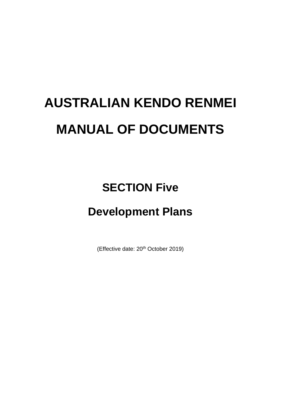# **AUSTRALIAN KENDO RENMEI MANUAL OF DOCUMENTS**

# **SECTION Five**

# **Development Plans**

(Effective date: 20<sup>th</sup> October 2019)